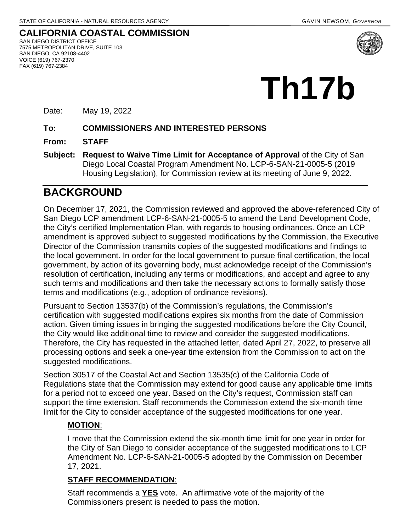**CALIFORNIA COASTAL COMMISSION** SAN DIEGO DISTRICT OFFICE 7575 METROPOLITAN DRIVE, SUITE 103 SAN DIEGO, CA 92108-4402 VOICE (619) 767-2370 FAX (619) 767-2384



# **Th17b**

Date: May 19, 2022

#### **To: COMMISSIONERS AND INTERESTED PERSONS**

**From: STAFF**

**Subject: Request to Waive Time Limit for Acceptance of Approval** of the City of San Diego Local Coastal Program Amendment No. LCP-6-SAN-21-0005-5 (2019 Housing Legislation), for Commission review at its meeting of June 9, 2022.

## **BACKGROUND**

On December 17, 2021, the Commission reviewed and approved the above-referenced City of San Diego LCP amendment LCP-6-SAN-21-0005-5 to amend the Land Development Code, the City's certified Implementation Plan, with regards to housing ordinances. Once an LCP amendment is approved subject to suggested modifications by the Commission, the Executive Director of the Commission transmits copies of the suggested modifications and findings to the local government. In order for the local government to pursue final certification, the local government, by action of its governing body, must acknowledge receipt of the Commission's resolution of certification, including any terms or modifications, and accept and agree to any such terms and modifications and then take the necessary actions to formally satisfy those terms and modifications (e.g., adoption of ordinance revisions).

Pursuant to Section 13537(b) of the Commission's regulations, the Commission's certification with suggested modifications expires six months from the date of Commission action. Given timing issues in bringing the suggested modifications before the City Council, the City would like additional time to review and consider the suggested modifications. Therefore, the City has requested in the attached letter, dated April 27, 2022, to preserve all processing options and seek a one-year time extension from the Commission to act on the suggested modifications.

Section 30517 of the Coastal Act and Section 13535(c) of the California Code of Regulations state that the Commission may extend for good cause any applicable time limits for a period not to exceed one year. Based on the City's request, Commission staff can support the time extension. Staff recommends the Commission extend the six-month time limit for the City to consider acceptance of the suggested modifications for one year.

### **MOTION**:

I move that the Commission extend the six-month time limit for one year in order for the City of San Diego to consider acceptance of the suggested modifications to LCP Amendment No. LCP-6-SAN-21-0005-5 adopted by the Commission on December 17, 2021.

### **STAFF RECOMMENDATION**:

Staff recommends a **YES** vote. An affirmative vote of the majority of the Commissioners present is needed to pass the motion.